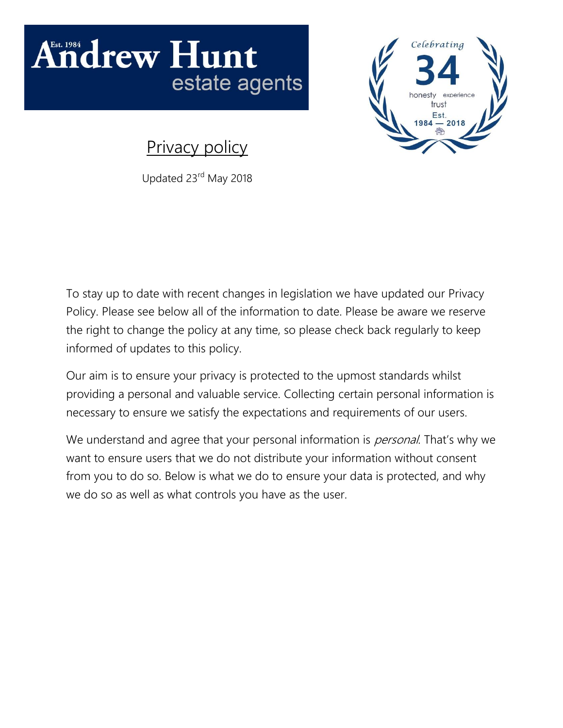# **Indrew Hunt** estate agents



Privacy policy

Updated 23rd May 2018

To stay up to date with recent changes in legislation we have updated our Privacy Policy. Please see below all of the information to date. Please be aware we reserve the right to change the policy at any time, so please check back regularly to keep informed of updates to this policy.

Our aim is to ensure your privacy is protected to the upmost standards whilst providing a personal and valuable service. Collecting certain personal information is necessary to ensure we satisfy the expectations and requirements of our users.

We understand and agree that your personal information is *personal*. That's why we want to ensure users that we do not distribute your information without consent from you to do so. Below is what we do to ensure your data is protected, and why we do so as well as what controls you have as the user.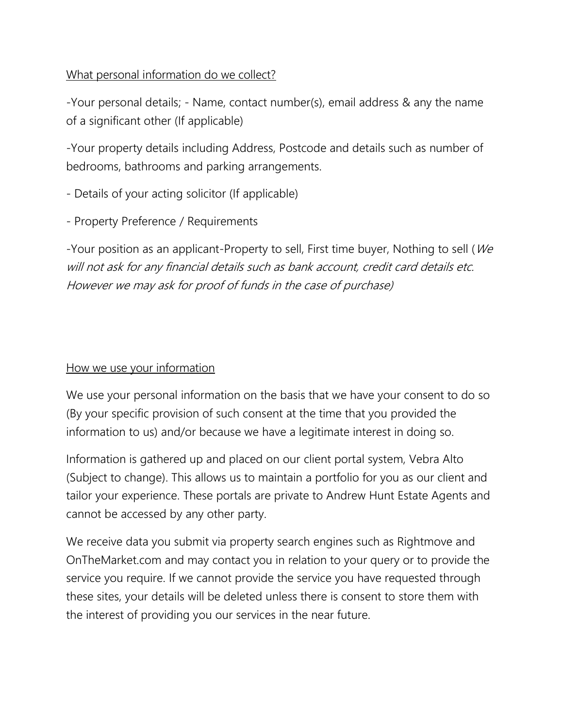What personal information do we collect?

-Your personal details; - Name, contact number(s), email address & any the name of a significant other (If applicable)

-Your property details including Address, Postcode and details such as number of bedrooms, bathrooms and parking arrangements.

- Details of your acting solicitor (If applicable)

- Property Preference / Requirements

-Your position as an applicant-Property to sell, First time buyer, Nothing to sell (We will not ask for any financial details such as bank account, credit card details etc. However we may ask for proof of funds in the case of purchase)

### How we use your information

We use your personal information on the basis that we have your consent to do so (By your specific provision of such consent at the time that you provided the information to us) and/or because we have a legitimate interest in doing so.

Information is gathered up and placed on our client portal system, Vebra Alto (Subject to change). This allows us to maintain a portfolio for you as our client and tailor your experience. These portals are private to Andrew Hunt Estate Agents and cannot be accessed by any other party.

We receive data you submit via property search engines such as Rightmove and OnTheMarket.com and may contact you in relation to your query or to provide the service you require. If we cannot provide the service you have requested through these sites, your details will be deleted unless there is consent to store them with the interest of providing you our services in the near future.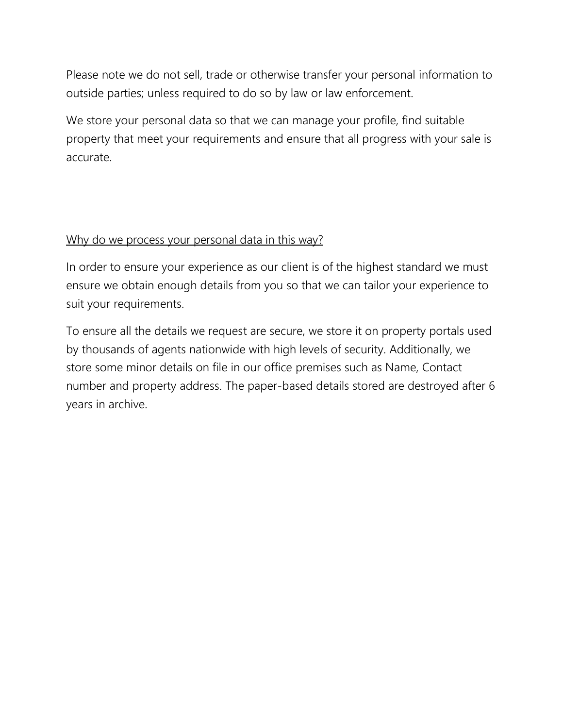Please note we do not sell, trade or otherwise transfer your personal information to outside parties; unless required to do so by law or law enforcement.

We store your personal data so that we can manage your profile, find suitable property that meet your requirements and ensure that all progress with your sale is accurate.

## Why do we process your personal data in this way?

In order to ensure your experience as our client is of the highest standard we must ensure we obtain enough details from you so that we can tailor your experience to suit your requirements.

To ensure all the details we request are secure, we store it on property portals used by thousands of agents nationwide with high levels of security. Additionally, we store some minor details on file in our office premises such as Name, Contact number and property address. The paper-based details stored are destroyed after 6 years in archive.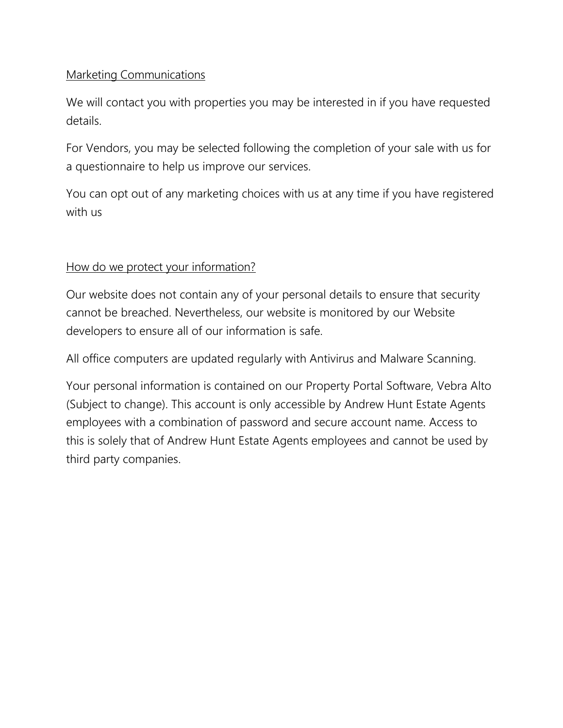### Marketing Communications

We will contact you with properties you may be interested in if you have requested details.

For Vendors, you may be selected following the completion of your sale with us for a questionnaire to help us improve our services.

You can opt out of any marketing choices with us at any time if you have registered with us

#### How do we protect your information?

Our website does not contain any of your personal details to ensure that security cannot be breached. Nevertheless, our website is monitored by our Website developers to ensure all of our information is safe.

All office computers are updated regularly with Antivirus and Malware Scanning.

Your personal information is contained on our Property Portal Software, Vebra Alto (Subject to change). This account is only accessible by Andrew Hunt Estate Agents employees with a combination of password and secure account name. Access to this is solely that of Andrew Hunt Estate Agents employees and cannot be used by third party companies.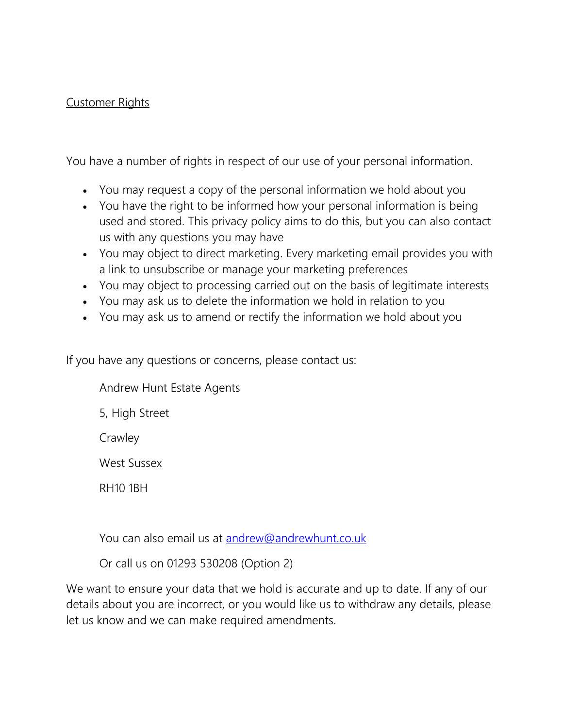### Customer Rights

You have a number of rights in respect of our use of your personal information.

- You may request a copy of the personal information we hold about you
- You have the right to be informed how your personal information is being used and stored. This privacy policy aims to do this, but you can also contact us with any questions you may have
- You may object to direct marketing. Every marketing email provides you with a link to unsubscribe or manage your marketing preferences
- You may object to processing carried out on the basis of legitimate interests
- You may ask us to delete the information we hold in relation to you
- You may ask us to amend or rectify the information we hold about you

If you have any questions or concerns, please contact us:

Andrew Hunt Estate Agents

5, High Street

**Crawley** 

West Sussex

RH10 1BH

You can also email us at [andrew@andrewhunt.co.uk](mailto:andrew@andrewhunt.co.uk)

Or call us on 01293 530208 (Option 2)

We want to ensure your data that we hold is accurate and up to date. If any of our details about you are incorrect, or you would like us to withdraw any details, please let us know and we can make required amendments.